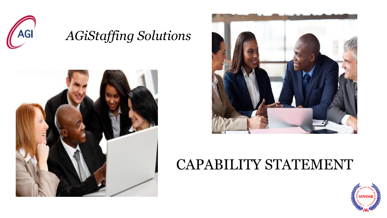

## *AGiStaffing Solutions*





# CAPABILITY STATEMENT

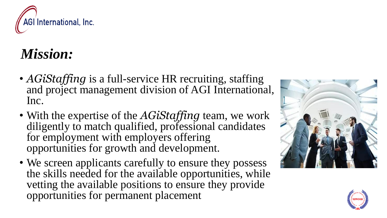

# *Mission:*

- *AGiStaffing* is a full-service HR recruiting, staffing and project management division of AGI International, Inc.
- With the expertise of the *AGiStaffing* team, we work diligently to match qualified, professional candidates for employment with employers offering opportunities for growth and development.
- We screen applicants carefully to ensure they possess the skills needed for the available opportunities, while vetting the available positions to ensure they provide opportunities for permanent placement



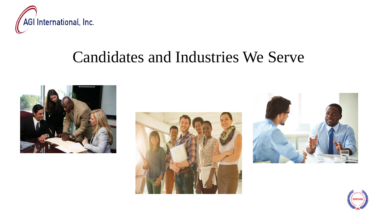

# Candidates and Industries We Serve







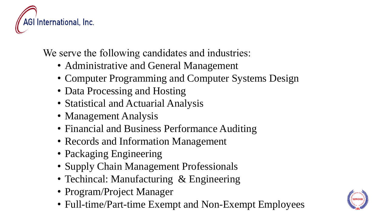

We serve the following candidates and industries:

- Administrative and General Management
- Computer Programming and Computer Systems Design
- Data Processing and Hosting
- Statistical and Actuarial Analysis
- Management Analysis
- Financial and Business Performance Auditing
- Records and Information Management
- Packaging Engineering
- Supply Chain Management Professionals
- Techincal: Manufacturing & Engineering
- Program/Project Manager
- Full-time/Part-time Exempt and Non-Exempt Employees

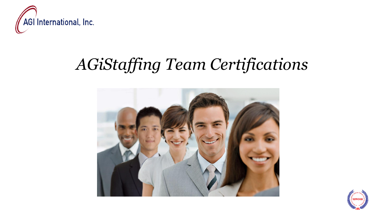

# *AGiStaffing Team Certifications*



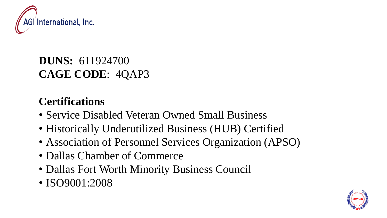

#### **DUNS:** 611924700 **CAGE CODE**: 4QAP3

#### **Certifications**

- Service Disabled Veteran Owned Small Business
- Historically Underutilized Business (HUB) Certified
- Association of Personnel Services Organization (APSO)
- Dallas Chamber of Commerce
- Dallas Fort Worth Minority Business Council
- ISO9001:2008

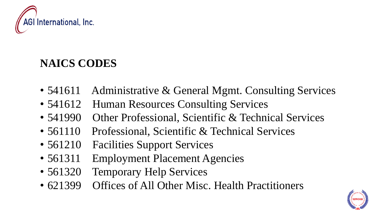

#### **NAICS CODES**

- 541611 Administrative & General Mgmt. Consulting Services
- 541612 Human Resources Consulting Services
- 541990 Other Professional, Scientific & Technical Services
- 561110 Professional, Scientific & Technical Services
- 561210 Facilities Support Services
- 561311 Employment Placement Agencies
- 561320 Temporary Help Services
- 621399 Offices of All Other Misc. Health Practitioners

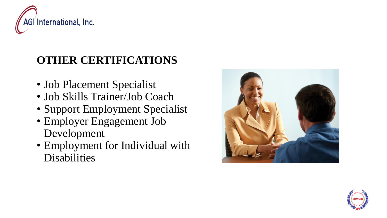

### **OTHER CERTIFICATIONS**

- Job Placement Specialist
- Job Skills Trainer/Job Coach
- Support Employment Specialist
- Employer Engagement Job Development
- Employment for Individual with Disabilities